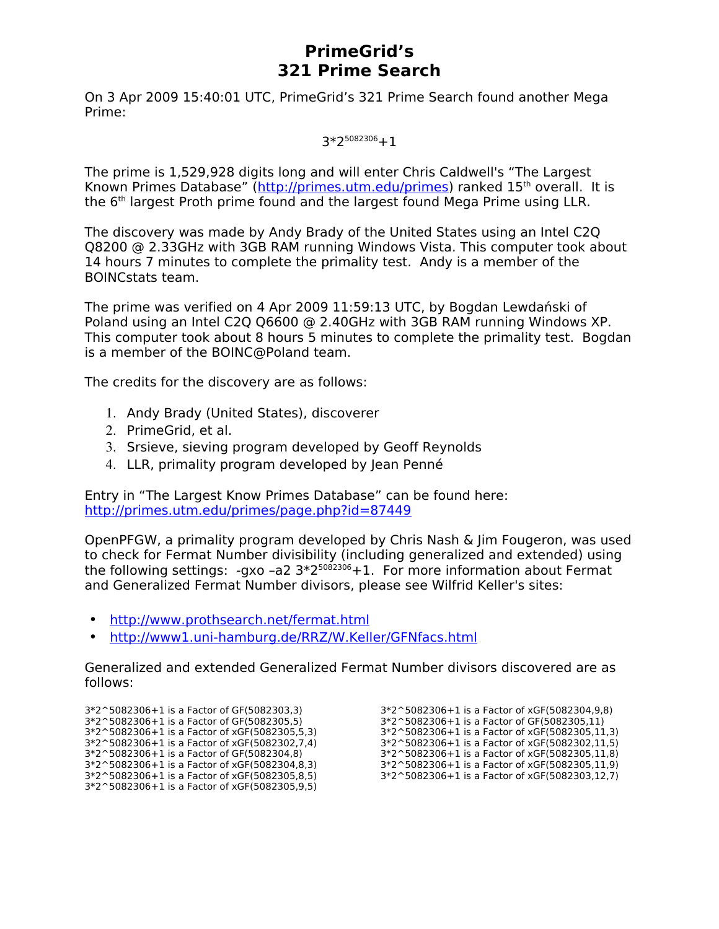# **PrimeGrid's 321 Prime Search**

On 3 Apr 2009 15:40:01 UTC, PrimeGrid's 321 Prime Search found another Mega Prime:

3\*2<sup>5082306</sup>+1

The prime is 1,529,928 digits long and will enter Chris Caldwell's "The Largest Known Primes Database" [\(http://primes.utm.edu/primes\)](http://primes.utm.edu/primes) ranked 15<sup>th</sup> overall. It is the 6<sup>th</sup> largest Proth prime found and the largest found Mega Prime using LLR.

The discovery was made by Andy Brady of the United States using an Intel C2Q Q8200 @ 2.33GHz with 3GB RAM running Windows Vista. This computer took about 14 hours 7 minutes to complete the primality test. Andy is a member of the BOINCstats team.

The prime was verified on 4 Apr 2009 11:59:13 UTC, by Bogdan Lewdański of Poland using an Intel C2Q Q6600 @ 2.40GHz with 3GB RAM running Windows XP. This computer took about 8 hours 5 minutes to complete the primality test. Bogdan is a member of the BOINC@Poland team.

The credits for the discovery are as follows:

- 1. Andy Brady (United States), discoverer
- 2. PrimeGrid, et al.
- 3. Srsieve, sieving program developed by Geoff Reynolds
- 4. LLR, primality program developed by Jean Penné

Entry in "The Largest Know Primes Database" can be found here: <http://primes.utm.edu/primes/page.php?id=87449>

OpenPFGW, a primality program developed by Chris Nash & Jim Fougeron, was used to check for Fermat Number divisibility (including generalized and extended) using the following settings: -gxo -a2  $3*2^{5082306}+1$ . For more information about Fermat and Generalized Fermat Number divisors, please see Wilfrid Keller's sites:

- •<http://www.prothsearch.net/fermat.html>
- <http://www1.uni-hamburg.de/RRZ/W.Keller/GFNfacs.html>

Generalized and extended Generalized Fermat Number divisors discovered are as follows:

3\*2^5082306+1 is a Factor of GF(5082303,3) 3\*2^5082306+1 is a Factor of GF(5082305,5) 3\*2^5082306+1 is a Factor of xGF(5082305,5,3) 3\*2^5082306+1 is a Factor of xGF(5082302,7,4) 3\*2^5082306+1 is a Factor of GF(5082304,8) 3\*2^5082306+1 is a Factor of xGF(5082304,8,3) 3\*2^5082306+1 is a Factor of xGF(5082305,8,5) 3\*2^5082306+1 is a Factor of xGF(5082305,9,5)

3\*2^5082306+1 is a Factor of xGF(5082304,9,8) 3\*2^5082306+1 is a Factor of GF(5082305,11) 3\*2^5082306+1 is a Factor of xGF(5082305,11,3) 3\*2^5082306+1 is a Factor of xGF(5082302,11,5) 3\*2^5082306+1 is a Factor of xGF(5082305,11,8) 3\*2^5082306+1 is a Factor of xGF(5082305,11,9) 3\*2^5082306+1 is a Factor of xGF(5082303,12,7)